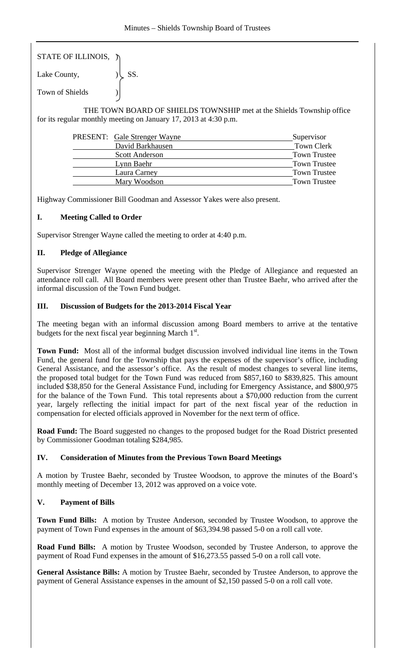STATE OF ILLINOIS, )

Lake County,  $|\text{SS}|$ . Town of Shields )

 THE TOWN BOARD OF SHIELDS TOWNSHIP met at the Shields Township office for its regular monthly meeting on January 17, 2013 at 4:30 p.m.

| <b>PRESENT:</b> Gale Strenger Wayne | Supervisor          |
|-------------------------------------|---------------------|
| David Barkhausen                    | Town Clerk          |
| <b>Scott Anderson</b>               | <b>Town Trustee</b> |
| Lynn Baehr                          | <b>Town Trustee</b> |
| Laura Carney                        | <b>Town Trustee</b> |
| Mary Woodson                        | <b>Town Trustee</b> |

Highway Commissioner Bill Goodman and Assessor Yakes were also present.

## **I. Meeting Called to Order**

Supervisor Strenger Wayne called the meeting to order at 4:40 p.m.

# **II. Pledge of Allegiance**

Supervisor Strenger Wayne opened the meeting with the Pledge of Allegiance and requested an attendance roll call. All Board members were present other than Trustee Baehr, who arrived after the informal discussion of the Town Fund budget.

## **III. Discussion of Budgets for the 2013-2014 Fiscal Year**

The meeting began with an informal discussion among Board members to arrive at the tentative budgets for the next fiscal year beginning March  $1<sup>st</sup>$ .

**Town Fund:** Most all of the informal budget discussion involved individual line items in the Town Fund, the general fund for the Township that pays the expenses of the supervisor's office, including General Assistance, and the assessor's office. As the result of modest changes to several line items, the proposed total budget for the Town Fund was reduced from \$857,160 to \$839,825. This amount included \$38,850 for the General Assistance Fund, including for Emergency Assistance, and \$800,975 for the balance of the Town Fund. This total represents about a \$70,000 reduction from the current year, largely reflecting the initial impact for part of the next fiscal year of the reduction in compensation for elected officials approved in November for the next term of office.

**Road Fund:** The Board suggested no changes to the proposed budget for the Road District presented by Commissioner Goodman totaling \$284,985.

## **IV. Consideration of Minutes from the Previous Town Board Meetings**

A motion by Trustee Baehr, seconded by Trustee Woodson, to approve the minutes of the Board's monthly meeting of December 13, 2012 was approved on a voice vote.

## **V. Payment of Bills**

**Town Fund Bills:** A motion by Trustee Anderson, seconded by Trustee Woodson, to approve the payment of Town Fund expenses in the amount of \$63,394.98 passed 5-0 on a roll call vote.

**Road Fund Bills:** A motion by Trustee Woodson, seconded by Trustee Anderson, to approve the payment of Road Fund expenses in the amount of \$16,273.55 passed 5-0 on a roll call vote.

**General Assistance Bills:** A motion by Trustee Baehr, seconded by Trustee Anderson, to approve the payment of General Assistance expenses in the amount of \$2,150 passed 5-0 on a roll call vote.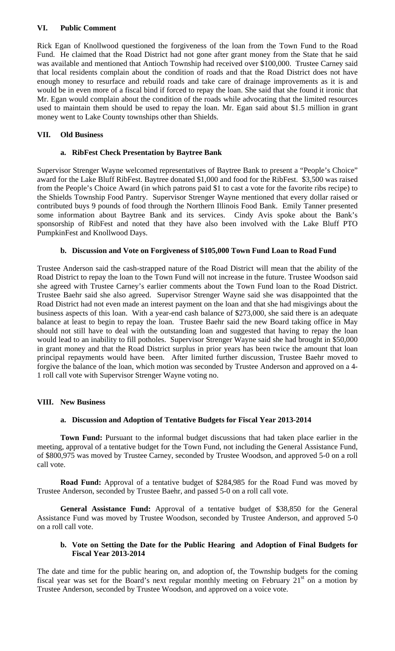### **VI. Public Comment**

Rick Egan of Knollwood questioned the forgiveness of the loan from the Town Fund to the Road Fund. He claimed that the Road District had not gone after grant money from the State that he said was available and mentioned that Antioch Township had received over \$100,000. Trustee Carney said that local residents complain about the condition of roads and that the Road District does not have enough money to resurface and rebuild roads and take care of drainage improvements as it is and would be in even more of a fiscal bind if forced to repay the loan. She said that she found it ironic that Mr. Egan would complain about the condition of the roads while advocating that the limited resources used to maintain them should be used to repay the loan. Mr. Egan said about \$1.5 million in grant money went to Lake County townships other than Shields.

#### **VII. Old Business**

#### **a. RibFest Check Presentation by Baytree Bank**

Supervisor Strenger Wayne welcomed representatives of Baytree Bank to present a "People's Choice" award for the Lake Bluff RibFest. Baytree donated \$1,000 and food for the RibFest. \$3,500 was raised from the People's Choice Award (in which patrons paid \$1 to cast a vote for the favorite ribs recipe) to the Shields Township Food Pantry. Supervisor Strenger Wayne mentioned that every dollar raised or contributed buys 9 pounds of food through the Northern Illinois Food Bank. Emily Tanner presented some information about Baytree Bank and its services. Cindy Avis spoke about the Bank's sponsorship of RibFest and noted that they have also been involved with the Lake Bluff PTO PumpkinFest and Knollwood Days.

#### **b. Discussion and Vote on Forgiveness of \$105,000 Town Fund Loan to Road Fund**

Trustee Anderson said the cash-strapped nature of the Road District will mean that the ability of the Road District to repay the loan to the Town Fund will not increase in the future. Trustee Woodson said she agreed with Trustee Carney's earlier comments about the Town Fund loan to the Road District. Trustee Baehr said she also agreed. Supervisor Strenger Wayne said she was disappointed that the Road District had not even made an interest payment on the loan and that she had misgivings about the business aspects of this loan. With a year-end cash balance of \$273,000, she said there is an adequate balance at least to begin to repay the loan. Trustee Baehr said the new Board taking office in May should not still have to deal with the outstanding loan and suggested that having to repay the loan would lead to an inability to fill potholes. Supervisor Strenger Wayne said she had brought in \$50,000 in grant money and that the Road District surplus in prior years has been twice the amount that loan principal repayments would have been. After limited further discussion, Trustee Baehr moved to forgive the balance of the loan, which motion was seconded by Trustee Anderson and approved on a 4- 1 roll call vote with Supervisor Strenger Wayne voting no.

#### **VIII. New Business**

#### **a. Discussion and Adoption of Tentative Budgets for Fiscal Year 2013-2014**

**Town Fund:** Pursuant to the informal budget discussions that had taken place earlier in the meeting, approval of a tentative budget for the Town Fund, not including the General Assistance Fund, of \$800,975 was moved by Trustee Carney, seconded by Trustee Woodson, and approved 5-0 on a roll call vote.

**Road Fund:** Approval of a tentative budget of \$284,985 for the Road Fund was moved by Trustee Anderson, seconded by Trustee Baehr, and passed 5-0 on a roll call vote.

**General Assistance Fund:** Approval of a tentative budget of \$38,850 for the General Assistance Fund was moved by Trustee Woodson, seconded by Trustee Anderson, and approved 5-0 on a roll call vote.

#### **b. Vote on Setting the Date for the Public Hearing and Adoption of Final Budgets for Fiscal Year 2013-2014**

The date and time for the public hearing on, and adoption of, the Township budgets for the coming fiscal year was set for the Board's next regular monthly meeting on February  $21<sup>st</sup>$  on a motion by Trustee Anderson, seconded by Trustee Woodson, and approved on a voice vote.